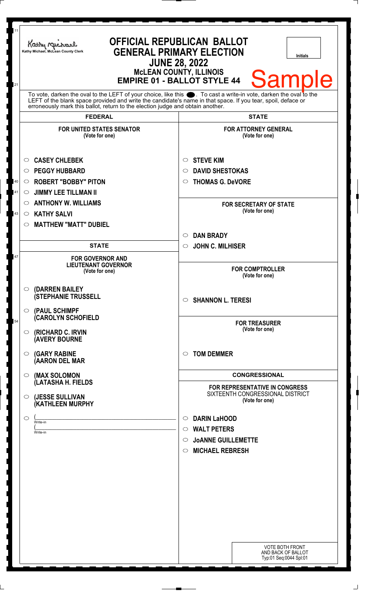| 11<br>21 | OFFICIAL REPUBLICAN BALLOT<br>Kathy Michael<br><b>GENERAL PRIMARY ELECTION</b><br>Kathy Michael, McLean County Clerk<br><b>Initials</b><br><b>JUNE 28, 2022</b><br><b>McLEAN COUNTY, ILLINOIS</b><br><b>Sample</b><br><b>EMPIRE 01 - BALLOT STYLE 44</b>                                                               |                                                                                      |
|----------|------------------------------------------------------------------------------------------------------------------------------------------------------------------------------------------------------------------------------------------------------------------------------------------------------------------------|--------------------------------------------------------------------------------------|
|          | To vote, darken the oval to the LEFT of your choice, like this $\bullet$ . To cast a write-in vote, darken the oval to the LEFT of the blank space provided and write the candidate's name in that space. If you tear, spoil, deface<br>erroneously mark this ballot, return to the election judge and obtain another. |                                                                                      |
|          | <b>FEDERAL</b>                                                                                                                                                                                                                                                                                                         | <b>STATE</b>                                                                         |
|          | <b>FOR UNITED STATES SENATOR</b><br>(Vote for one)<br><b>CASEY CHLEBEK</b><br>$\circ$                                                                                                                                                                                                                                  | <b>FOR ATTORNEY GENERAL</b><br>(Vote for one)<br><b>STEVE KIM</b><br>$\circ$         |
|          | <b>PEGGY HUBBARD</b><br>$\circ$                                                                                                                                                                                                                                                                                        | <b>DAVID SHESTOKAS</b><br>$\circ$                                                    |
| 40       | <b>ROBERT "BOBBY" PITON</b><br>$\circ$                                                                                                                                                                                                                                                                                 | <b>THOMAS G. DeVORE</b><br>$\circ$                                                   |
| 41       | <b>JIMMY LEE TILLMAN II</b><br>$\circ$                                                                                                                                                                                                                                                                                 |                                                                                      |
|          | <b>ANTHONY W. WILLIAMS</b><br>$\circ$                                                                                                                                                                                                                                                                                  | <b>FOR SECRETARY OF STATE</b>                                                        |
| 43       | <b>KATHY SALVI</b><br>$\circ$                                                                                                                                                                                                                                                                                          | (Vote for one)                                                                       |
|          | <b>MATTHEW "MATT" DUBIEL</b><br>$\circ$                                                                                                                                                                                                                                                                                |                                                                                      |
|          |                                                                                                                                                                                                                                                                                                                        | <b>DAN BRADY</b><br>$\circ$                                                          |
|          | <b>STATE</b>                                                                                                                                                                                                                                                                                                           | <b>JOHN C. MILHISER</b><br>$\circ$                                                   |
| 47       | <b>FOR GOVERNOR AND</b><br><b>LIEUTENANT GOVERNOR</b><br>(Vote for one)                                                                                                                                                                                                                                                | <b>FOR COMPTROLLER</b><br>(Vote for one)                                             |
|          | (DARREN BAILEY<br>◯<br><b>(STEPHANIE TRUSSELL</b><br>(PAUL SCHIMPF<br>$\circ$                                                                                                                                                                                                                                          | $\circ$ SHANNON L. TERESI                                                            |
| 54       | <b>CAROLYN SCHOFIELD</b><br>(RICHARD C. IRVIN<br>$\circ$<br><b>(AVERY BOURNE</b>                                                                                                                                                                                                                                       | <b>FOR TREASURER</b><br>(Vote for one)                                               |
|          | <b>(GARY RABINE</b><br>$\circ$<br>(AARON DEL MAR                                                                                                                                                                                                                                                                       | <b>TOM DEMMER</b><br>$\circ$                                                         |
|          | (MAX SOLOMON<br>$\circ$                                                                                                                                                                                                                                                                                                | <b>CONGRESSIONAL</b>                                                                 |
|          | (LATASHA H. FIELDS<br>(JESSE SULLIVAN<br>$\circ$<br>(KATHLEEN MURPHY                                                                                                                                                                                                                                                   | FOR REPRESENTATIVE IN CONGRESS<br>SIXTEENTH CONGRESSIONAL DISTRICT<br>(Vote for one) |
|          | $\bigcirc$                                                                                                                                                                                                                                                                                                             | <b>DARIN LaHOOD</b>                                                                  |
|          | Write-in                                                                                                                                                                                                                                                                                                               | $\circ$<br><b>WALT PETERS</b><br>$\circ$                                             |
|          | Write-in                                                                                                                                                                                                                                                                                                               | $\circ$ JOANNE GUILLEMETTE                                                           |
|          |                                                                                                                                                                                                                                                                                                                        | <b>MICHAEL REBRESH</b><br>$\circ$                                                    |
|          |                                                                                                                                                                                                                                                                                                                        |                                                                                      |
|          |                                                                                                                                                                                                                                                                                                                        |                                                                                      |
|          |                                                                                                                                                                                                                                                                                                                        |                                                                                      |
|          |                                                                                                                                                                                                                                                                                                                        |                                                                                      |
|          |                                                                                                                                                                                                                                                                                                                        |                                                                                      |
|          |                                                                                                                                                                                                                                                                                                                        |                                                                                      |
|          |                                                                                                                                                                                                                                                                                                                        |                                                                                      |
|          |                                                                                                                                                                                                                                                                                                                        |                                                                                      |
|          |                                                                                                                                                                                                                                                                                                                        | <b>VOTE BOTH FRONT</b><br>AND BACK OF BALLOT<br>Typ:01 Seq:0044 Spl:01               |

 $\perp$